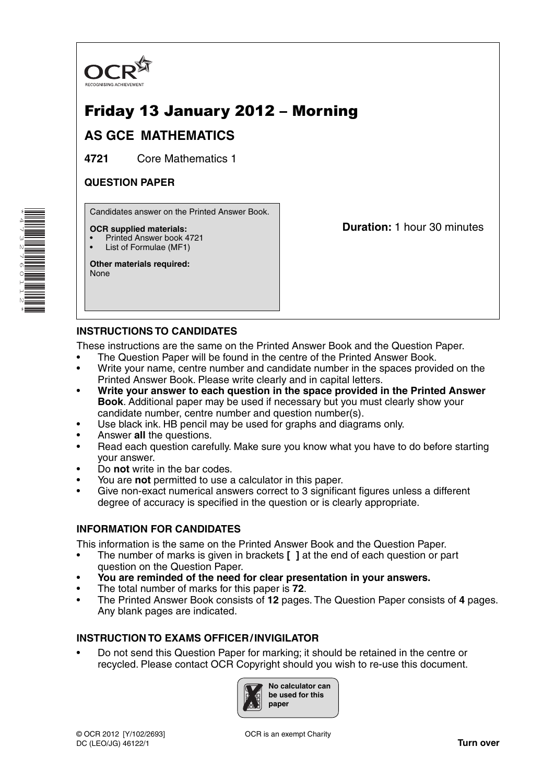

# Friday 13 January 2012 – Morning

## **AS GCE MATHEMATICS**

**4721** Core Mathematics 1

## **QUESTION PAPER**

Candidates answer on the Printed Answer Book.

#### **OCR supplied materials:**

- Printed Answer book 4721
- List of Formulae (MF1)

**Other materials required:** None

**Duration:** 1 hour 30 minutes

## **INSTRUCTIONS TO CANDIDATES**

These instructions are the same on the Printed Answer Book and the Question Paper.

- The Question Paper will be found in the centre of the Printed Answer Book.
- Write your name, centre number and candidate number in the spaces provided on the Printed Answer Book. Please write clearly and in capital letters.
- **Write your answer to each question in the space provided in the Printed Answer Book**. Additional paper may be used if necessary but you must clearly show your candidate number, centre number and question number(s).
- Use black ink. HB pencil may be used for graphs and diagrams only.
- Answer **all** the questions.
- Read each question carefully. Make sure you know what you have to do before starting your answer.
- Do **not** write in the bar codes.
- You are **not** permitted to use a calculator in this paper.
- Give non-exact numerical answers correct to 3 significant figures unless a different degree of accuracy is specified in the question or is clearly appropriate.

### **INFORMATION FOR CANDIDATES**

This information is the same on the Printed Answer Book and the Question Paper.

- The number of marks is given in brackets **[ ]** at the end of each question or part question on the Question Paper.
- **You are reminded of the need for clear presentation in your answers.**
- The total number of marks for this paper is **72**.
- The Printed Answer Book consists of **12** pages. The Question Paper consists of **4** pages. Any blank pages are indicated.

### **INSTRUCTION TO EXAMS OFFICER / INVIGILATOR**

• Do not send this Question Paper for marking; it should be retained in the centre or recycled. Please contact OCR Copyright should you wish to re-use this document.



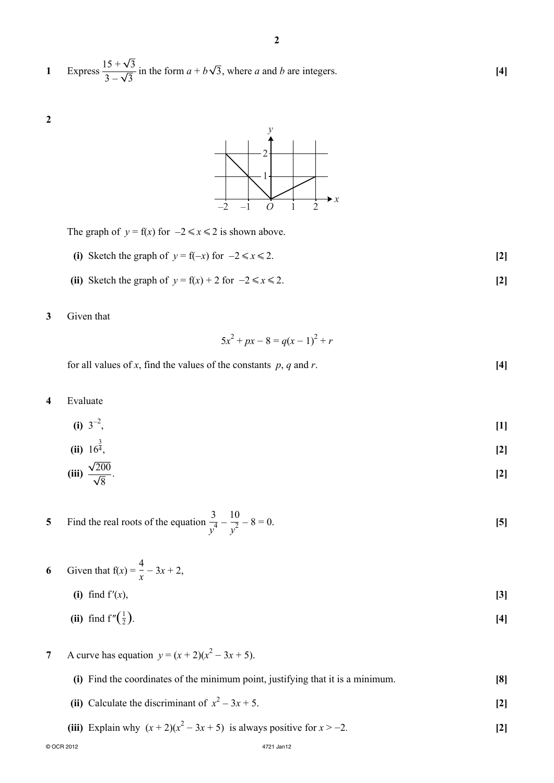1 Express 
$$
\frac{15 + \sqrt{3}}{3 - \sqrt{3}}
$$
 in the form  $a + b\sqrt{3}$ , where *a* and *b* are integers. [4]



The graph of  $y = f(x)$  for  $-2 \le x \le 2$  is shown above.

- **(i)** Sketch the graph of  $y = f(-x)$  for  $-2 \le x \le 2$ . [2]
- (ii) Sketch the graph of  $y = f(x) + 2$  for  $-2 \le x \le 2$ . [2]

#### **3** Given that

**2**

$$
5x^2 + px - 8 = q(x - 1)^2 + r
$$

for all values of *x*, find the values of the constants  $p$ ,  $q$  and  $r$ . [4]

**4** Evaluate

$$
(i) 3^{-2}, \t\t [1]
$$

(ii) 
$$
16^{\frac{3}{4}}
$$
, [2]

$$
\textbf{(iii)}\ \frac{\sqrt{200}}{\sqrt{8}}.\tag{2}
$$

**5** • Find the real roots of the equation  $\frac{3}{4}$  $\frac{3}{y^4} - \frac{10}{y^2} - 8 = 0.$  **[5]** 

- **6** Given that  $f(x) = \frac{4}{x} 3x + 2$ ,
	- **(i)** find  $f'(x)$ ,  $[3]$ (ii) find  $f''(\frac{1}{2})$ .  $\frac{1}{2}$ ). [4]
- **7** A curve has equation  $y = (x + 2)(x^2 3x + 5)$ .

| (i) Find the coordinates of the minimum point, justifying that it is a minimum. | [8] |
|---------------------------------------------------------------------------------|-----|
| (ii) Calculate the discriminant of $x^2 - 3x + 5$ .                             |     |

**(iii)** Explain why  $(x + 2)(x^2 - 3x + 5)$  is always positive for  $x > -2$ . **[2]** 

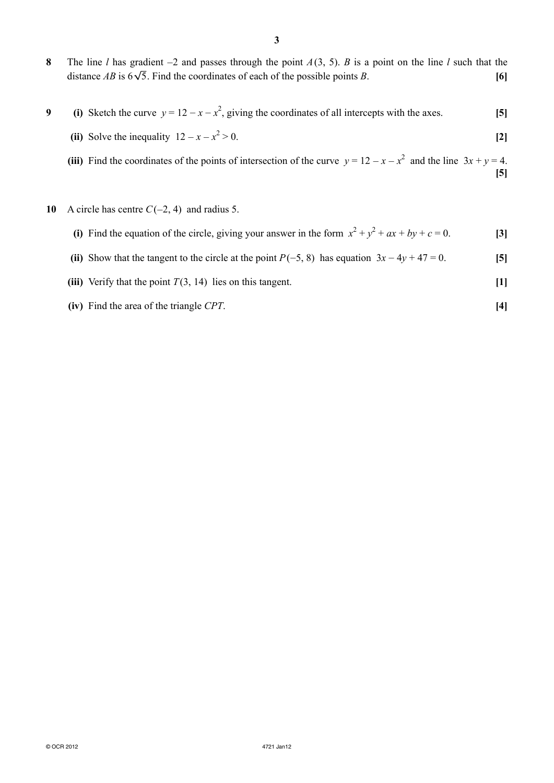- **8** The line *l* has gradient −2 and passes through the point *A* (3, 5). *B* is a point on the line *l* such that the distance *AB* is  $6\sqrt{5}$ . Find the coordinates of each of the possible points *B*. [6]
- **9** (i) Sketch the curve  $y = 12 x x^2$ , giving the coordinates of all intercepts with the axes. [5]
- **(ii)** Solve the inequality  $12 x x^2$  $> 0.$  [2]

(iii) Find the coordinates of the points of intersection of the curve  $y = 12 - x - x^2$  and the line  $3x + y = 4$ . **[5]**

- **10** A circle has centre *C* (−2, 4) and radius 5.
- (i) Find the equation of the circle, giving your answer in the form  $x^2 + y^2 + ax + by + c = 0$ . [3]
	- (ii) Show that the tangent to the circle at the point  $P(-5, 8)$  has equation  $3x 4y + 47 = 0$ . [5]
	- **(iii)** Verify that the point  $T(3, 14)$  lies on this tangent. [1]
	- **(iv)** Find the area of the triangle *CPT*. **[4]**